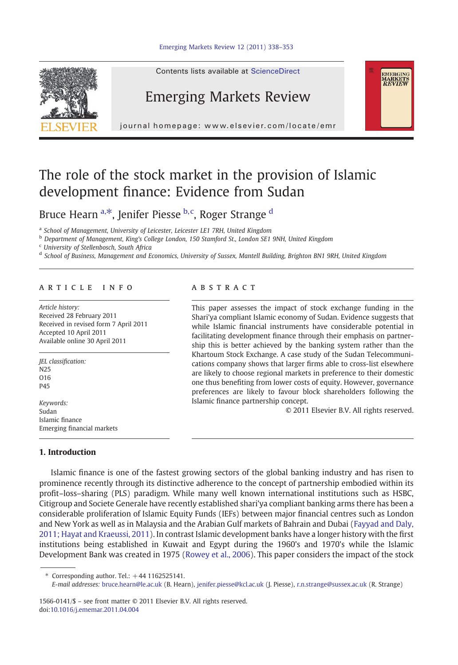

Contents lists available at ScienceDirect

# Emerging Markets Review

journal homepage: www.elsevier.com/locate/emr



# The role of the stock market in the provision of Islamic development finance: Evidence from Sudan

Bruce Hearn <sup>a,\*</sup>, Jenifer Piesse <sup>b,c</sup>, Roger Strange <sup>d</sup>

<sup>a</sup> School of Management, University of Leicester, Leicester LE1 7RH, United Kingdom

<sup>b</sup> Department of Management, King's College London, 150 Stamford St., London SE1 9NH, United Kingdom

<sup>c</sup> University of Stellenbosch, South Africa

<sup>d</sup> School of Business, Management and Economics, University of Sussex, Mantell Building, Brighton BN1 9RH, United Kingdom

## article info abstract

Article history: Received 28 February 2011 Received in revised form 7 April 2011 Accepted 10 April 2011 Available online 30 April 2011

JEL classification: N25 O<sub>16</sub> P45

Keywords: Sudan Islamic finance Emerging financial markets

## 1. Introduction

This paper assesses the impact of stock exchange funding in the Shari'ya compliant Islamic economy of Sudan. Evidence suggests that while Islamic financial instruments have considerable potential in facilitating development finance through their emphasis on partnership this is better achieved by the banking system rather than the Khartoum Stock Exchange. A case study of the Sudan Telecommunications company shows that larger firms able to cross-list elsewhere are likely to choose regional markets in preference to their domestic one thus benefiting from lower costs of equity. However, governance preferences are likely to favour block shareholders following the Islamic finance partnership concept.

© 2011 Elsevier B.V. All rights reserved.

Islamic finance is one of the fastest growing sectors of the global banking industry and has risen to prominence recently through its distinctive adherence to the concept of partnership embodied within its profit–loss–sharing (PLS) paradigm. While many well known international institutions such as HSBC, Citigroup and Societe Generale have recently established shari'ya compliant banking arms there has been a considerable proliferation of Islamic Equity Funds (IEFs) between major financial centres such as London and New York as well as in Malaysia and the Arabian Gulf markets of Bahrain and Dubai ([Fayyad and Daly,](#page--1-0) [2011; Hayat and Kraeussi, 2011\)](#page--1-0). In contrast Islamic development banks have a longer history with the first institutions being established in Kuwait and Egypt during the 1960's and 1970's while the Islamic Development Bank was created in 1975 ([Rowey et al., 2006\)](#page--1-0). This paper considers the impact of the stock

Corresponding author. Tel.:  $+44$  1162525141.

1566-0141/\$ – see front matter © 2011 Elsevier B.V. All rights reserved. doi:[10.1016/j.ememar.2011.04.004](http://dx.doi.org/10.1016/j.ememar.2011.04.004)

E-mail addresses: [bruce.hearn@le.ac.uk](mailto:bruce.hearn@le.ac.uk) (B. Hearn), [jenifer.piesse@kcl.ac.uk](mailto:jenifer.piesse@kcl.ac.uk) (J. Piesse), [r.n.strange@sussex.ac.uk](mailto:r.n.strange@sussex.ac.uk) (R. Strange)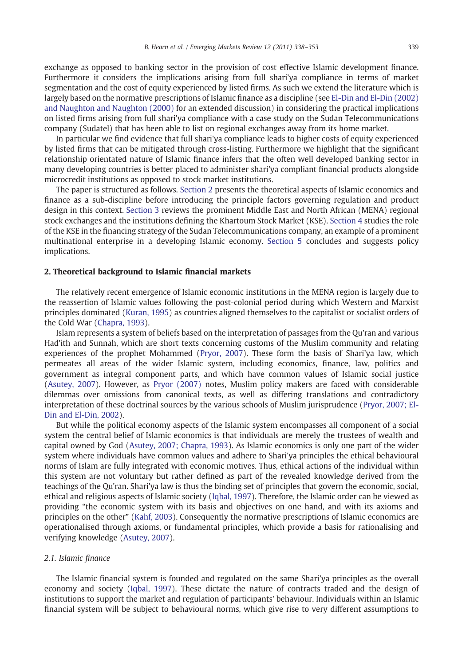exchange as opposed to banking sector in the provision of cost effective Islamic development finance. Furthermore it considers the implications arising from full shari'ya compliance in terms of market segmentation and the cost of equity experienced by listed firms. As such we extend the literature which is largely based on the normative prescriptions of Islamic finance as a discipline (see [El-Din and El-Din \(2002\)](#page--1-0) [and Naughton and Naughton \(2000\)](#page--1-0) for an extended discussion) in considering the practical implications on listed firms arising from full shari'ya compliance with a case study on the Sudan Telecommunications company (Sudatel) that has been able to list on regional exchanges away from its home market.

In particular we find evidence that full shari'ya compliance leads to higher costs of equity experienced by listed firms that can be mitigated through cross-listing. Furthermore we highlight that the significant relationship orientated nature of Islamic finance infers that the often well developed banking sector in many developing countries is better placed to administer shari'ya compliant financial products alongside microcredit institutions as opposed to stock market institutions.

The paper is structured as follows. Section 2 presents the theoretical aspects of Islamic economics and finance as a sub-discipline before introducing the principle factors governing regulation and product design in this context. [Section 3](#page--1-0) reviews the prominent Middle East and North African (MENA) regional stock exchanges and the institutions defining the Khartoum Stock Market (KSE). [Section 4](#page--1-0) studies the role of the KSE in the financing strategy of the Sudan Telecommunications company, an example of a prominent multinational enterprise in a developing Islamic economy. [Section 5](#page--1-0) concludes and suggests policy implications.

## 2. Theoretical background to Islamic financial markets

The relatively recent emergence of Islamic economic institutions in the MENA region is largely due to the reassertion of Islamic values following the post-colonial period during which Western and Marxist principles dominated [\(Kuran, 1995\)](#page--1-0) as countries aligned themselves to the capitalist or socialist orders of the Cold War ([Chapra, 1993\)](#page--1-0).

Islam represents a system of beliefs based on the interpretation of passages from the Qu'ran and various Had'ith and Sunnah, which are short texts concerning customs of the Muslim community and relating experiences of the prophet Mohammed ([Pryor, 2007](#page--1-0)). These form the basis of Shari'ya law, which permeates all areas of the wider Islamic system, including economics, finance, law, politics and government as integral component parts, and which have common values of Islamic social justice ([Asutey, 2007\)](#page--1-0). However, as [Pryor \(2007\)](#page--1-0) notes, Muslim policy makers are faced with considerable dilemmas over omissions from canonical texts, as well as differing translations and contradictory interpretation of these doctrinal sources by the various schools of Muslim jurisprudence [\(Pryor, 2007; El-](#page--1-0)[Din and El-Din, 2002\)](#page--1-0).

But while the political economy aspects of the Islamic system encompasses all component of a social system the central belief of Islamic economics is that individuals are merely the trustees of wealth and capital owned by God [\(Asutey, 2007; Chapra, 1993](#page--1-0)). As Islamic economics is only one part of the wider system where individuals have common values and adhere to Shari'ya principles the ethical behavioural norms of Islam are fully integrated with economic motives. Thus, ethical actions of the individual within this system are not voluntary but rather defined as part of the revealed knowledge derived from the teachings of the Qu'ran. Shari'ya law is thus the binding set of principles that govern the economic, social, ethical and religious aspects of Islamic society ([Iqbal, 1997\)](#page--1-0). Therefore, the Islamic order can be viewed as providing "the economic system with its basis and objectives on one hand, and with its axioms and principles on the other" ([Kahf, 2003](#page--1-0)). Consequently the normative prescriptions of Islamic economics are operationalised through axioms, or fundamental principles, which provide a basis for rationalising and verifying knowledge [\(Asutey, 2007](#page--1-0)).

#### 2.1. Islamic finance

The Islamic financial system is founded and regulated on the same Shari'ya principles as the overall economy and society [\(Iqbal, 1997\)](#page--1-0). These dictate the nature of contracts traded and the design of institutions to support the market and regulation of participants' behaviour. Individuals within an Islamic financial system will be subject to behavioural norms, which give rise to very different assumptions to